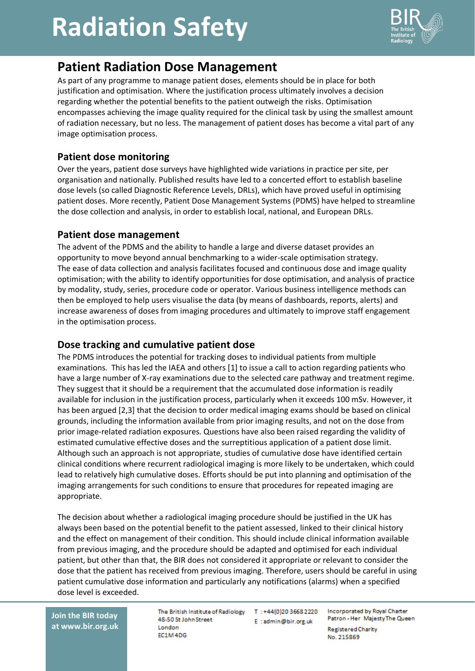# **Radiation Safety**



### **Patient Radiation Dose Management**

As part of any programme to manage patient doses, elements should be in place for both justification and optimisation. Where the justification process ultimately involves a decision regarding whether the potential benefits to the patient outweigh the risks. Optimisation encompasses achieving the image quality required for the clinical task by using the smallest amount of radiation necessary, but no less. The management of patient doses has become a vital part of any image optimisation process.

#### **Patient dose monitoring**

Over the years, patient dose surveys have highlighted wide variations in practice per site, per organisation and nationally. Published results have led to a concerted effort to establish baseline dose levels (so called Diagnostic Reference Levels, DRLs), which have proved useful in optimising patient doses. More recently, Patient Dose Management Systems (PDMS) have helped to streamline the dose collection and analysis, in order to establish local, national, and European DRLs.

#### **Patient dose management**

The advent of the PDMS and the ability to handle a large and diverse dataset provides an opportunity to move beyond annual benchmarking to a wider-scale optimisation strategy. The ease of data collection and analysis facilitates focused and continuous dose and image quality optimisation; with the ability to identify opportunities for dose optimisation, and analysis of practice by modality, study, series, procedure code or operator. Various business intelligence methods can then be employed to help users visualise the data (by means of dashboards, reports, alerts) and increase awareness of doses from imaging procedures and ultimately to improve staff engagement in the optimisation process.

#### **Dose tracking and cumulative patient dose**

The PDMS introduces the potential for tracking doses to individual patients from multiple examinations. This has led the IAEA and others [1] to issue a call to action regarding patients who have a large number of X-ray examinations due to the selected care pathway and treatment regime. They suggest that it should be a requirement that the accumulated dose information is readily available for inclusion in the justification process, particularly when it exceeds 100 mSv. However, it has been argued [2,3] that the decision to order medical imaging exams should be based on clinical grounds, including the information available from prior imaging results, and not on the dose from prior image-related radiation exposures. Questions have also been raised regarding the validity of estimated cumulative effective doses and the surreptitious application of a patient dose limit. Although such an approach is not appropriate, studies of cumulative dose have identified certain clinical conditions where recurrent radiological imaging is more likely to be undertaken, which could lead to relatively high cumulative doses. Efforts should be put into planning and optimisation of the imaging arrangements for such conditions to ensure that procedures for repeated imaging are appropriate.

The decision about whether a radiological imaging procedure should be justified in the UK has always been based on the potential benefit to the patient assessed, linked to their clinical history and the effect on management of their condition. This should include clinical information available from previous imaging, and the procedure should be adapted and optimised for each individual patient, but other than that, the BIR does not considered it appropriate or relevant to consider the dose that the patient has received from previous imaging. Therefore, users should be careful in using patient cumulative dose information and particularly any notifications (alarms) when a specified dose level is exceeded.

**Join the BIR today at www.bir.org.uk** The British Institute of Radiology T: +44(0)20 3668 2220 48-50 St John Street London EC1M4DG

E:admin@bir.org.uk

**Incorporated by Royal Charter** Patron - Her Majesty The Queen Registered Charity No. 215869